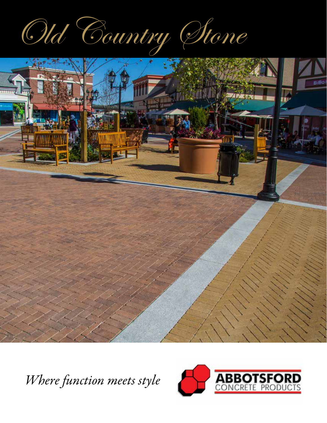Old Country Stone



*Where function meets style*

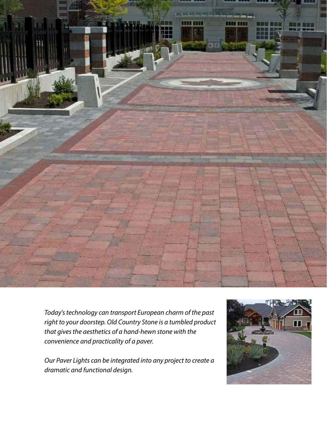

*Today's technology can transport European charm of the past right to your doorstep. Old Country Stone is a tumbled product that gives the aesthetics of a hand-hewn stone with the convenience and practicality of a paver.* 

*Our Paver Lights can be integrated into any project to create a dramatic and functional design.*

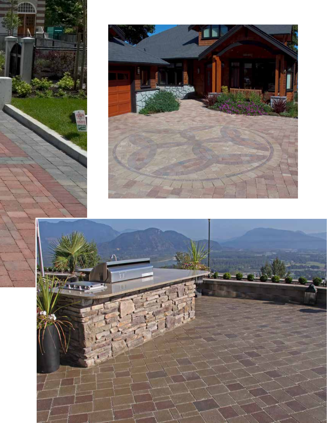